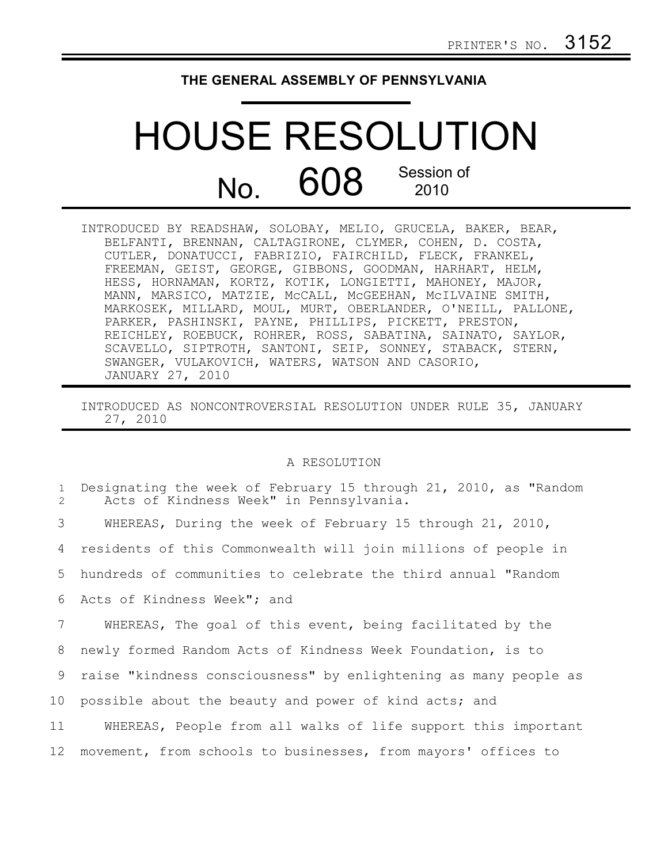## **THE GENERAL ASSEMBLY OF PENNSYLVANIA**

## HOUSE RESOLUTION  $N<sub>0</sub>$  608 Session of 2010

INTRODUCED BY READSHAW, SOLOBAY, MELIO, GRUCELA, BAKER, BEAR, BELFANTI, BRENNAN, CALTAGIRONE, CLYMER, COHEN, D. COSTA, CUTLER, DONATUCCI, FABRIZIO, FAIRCHILD, FLECK, FRANKEL, FREEMAN, GEIST, GEORGE, GIBBONS, GOODMAN, HARHART, HELM, HESS, HORNAMAN, KORTZ, KOTIK, LONGIETTI, MAHONEY, MAJOR, MANN, MARSICO, MATZIE, McCALL, McGEEHAN, McILVAINE SMITH, MARKOSEK, MILLARD, MOUL, MURT, OBERLANDER, O'NEILL, PALLONE, PARKER, PASHINSKI, PAYNE, PHILLIPS, PICKETT, PRESTON, REICHLEY, ROEBUCK, ROHRER, ROSS, SABATINA, SAINATO, SAYLOR, SCAVELLO, SIPTROTH, SANTONI, SEIP, SONNEY, STABACK, STERN, SWANGER, VULAKOVICH, WATERS, WATSON AND CASORIO, JANUARY 27, 2010

INTRODUCED AS NONCONTROVERSIAL RESOLUTION UNDER RULE 35, JANUARY 27, 2010

## A RESOLUTION

| $\mathbf{1}$<br>$\mathcal{L}$ | Designating the week of February 15 through 21, 2010, as "Random<br>Acts of Kindness Week" in Pennsylvania. |
|-------------------------------|-------------------------------------------------------------------------------------------------------------|
| 3                             | WHEREAS, During the week of February 15 through 21, 2010,                                                   |
| 4                             | residents of this Commonwealth will join millions of people in                                              |
| 5                             | hundreds of communities to celebrate the third annual "Random                                               |
| 6                             | Acts of Kindness Week"; and                                                                                 |
| 7                             | WHEREAS, The goal of this event, being facilitated by the                                                   |
| 8                             | newly formed Random Acts of Kindness Week Foundation, is to                                                 |
| 9                             | raise "kindness consciousness" by enlightening as many people as                                            |
| 10                            | possible about the beauty and power of kind acts; and                                                       |
| 11                            | WHEREAS, People from all walks of life support this important                                               |
| 12                            | movement, from schools to businesses, from mayors' offices to                                               |